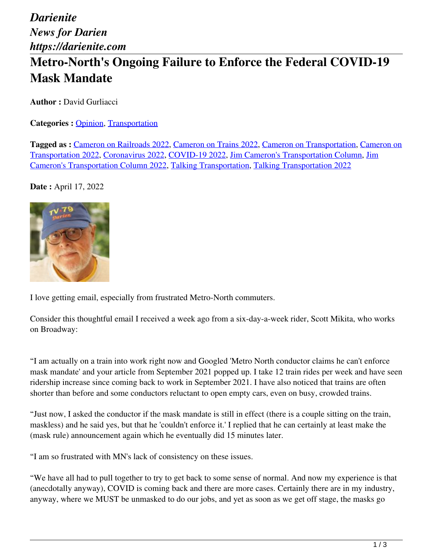*Darienite News for Darien https://darienite.com*

## **Metro-North's Ongoing Failure to Enforce the Federal COVID-19 Mask Mandate**

**Author :** David Gurliacci

**Categories : [Opinion](https://darienite.com/category/opinion), Transportation** 

**Tagged as :** Cameron on Railroads 2022, Cameron on Trains 2022, Cameron on Transportation, Cameron on Transportation 2022, Coronavirus 2022, COVID-19 2022, Jim Cameron's Transportation Column, Jim Cameron's Transportation Column 2022, Talking Transportation, Talking Transportation 2022

**Date :** April 17, 2022



I love getting email, especially from frustrated Metro-North commuters.

Consider this thoughtful email I received a week ago from a six-day-a-week rider, Scott Mikita, who works on Broadway:

"I am actually on a train into work right now and Googled 'Metro North conductor claims he can't enforce mask mandate' and your article from September 2021 popped up. I take 12 train rides per week and have seen ridership increase since coming back to work in September 2021. I have also noticed that trains are often shorter than before and some conductors reluctant to open empty cars, even on busy, crowded trains.

"Just now, I asked the conductor if the mask mandate is still in effect (there is a couple sitting on the train, maskless) and he said yes, but that he 'couldn't enforce it.' I replied that he can certainly at least make the (mask rule) announcement again which he eventually did 15 minutes later.

"I am so frustrated with MN's lack of consistency on these issues.

"We have all had to pull together to try to get back to some sense of normal. And now my experience is that (anecdotally anyway), COVID is coming back and there are more cases. Certainly there are in my industry, anyway, where we MUST be unmasked to do our jobs, and yet as soon as we get off stage, the masks go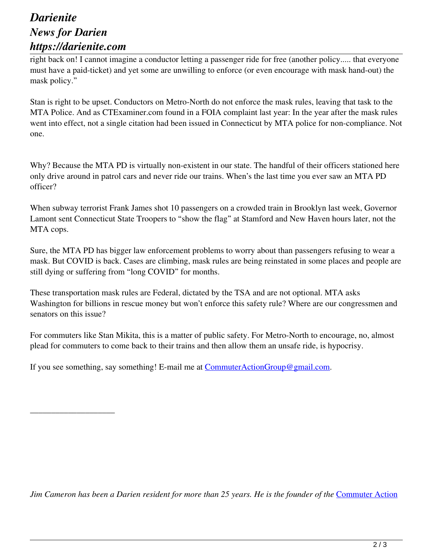## *Darienite News for Darien https://darienite.com*

\_\_\_\_\_\_\_\_\_\_\_\_\_\_\_\_\_\_\_\_

right back on! I cannot imagine a conductor letting a passenger ride for free (another policy..... that everyone must have a paid-ticket) and yet some are unwilling to enforce (or even encourage with mask hand-out) the mask policy."

Stan is right to be upset. Conductors on Metro-North do not enforce the mask rules, leaving that task to the MTA Police. And as CTExaminer.com found in a FOIA complaint last year: In the year after the mask rules went into effect, not a single citation had been issued in Connecticut by MTA police for non-compliance. Not one.

Why? Because the MTA PD is virtually non-existent in our state. The handful of their officers stationed here only drive around in patrol cars and never ride our trains. When's the last time you ever saw an MTA PD officer?

When subway terrorist Frank James shot 10 passengers on a crowded train in Brooklyn last week, Governor Lamont sent Connecticut State Troopers to "show the flag" at Stamford and New Haven hours later, not the MTA cops.

Sure, the MTA PD has bigger law enforcement problems to worry about than passengers refusing to wear a mask. But COVID is back. Cases are climbing, mask rules are being reinstated in some places and people are still dying or suffering from "long COVID" for months.

These transportation mask rules are Federal, dictated by the TSA and are not optional. MTA asks Washington for billions in rescue money but won't enforce this safety rule? Where are our congressmen and senators on this issue?

For commuters like Stan Mikita, this is a matter of public safety. For Metro-North to encourage, no, almost plead for commuters to come back to their trains and then allow them an unsafe ride, is hypocrisy.

If you see something, say something! E-mail me at CommuterActionGroup@gmail.com.

*Jim Cameron has been a Darien resident for more than 25 years. He is the founder of the Commuter Action*